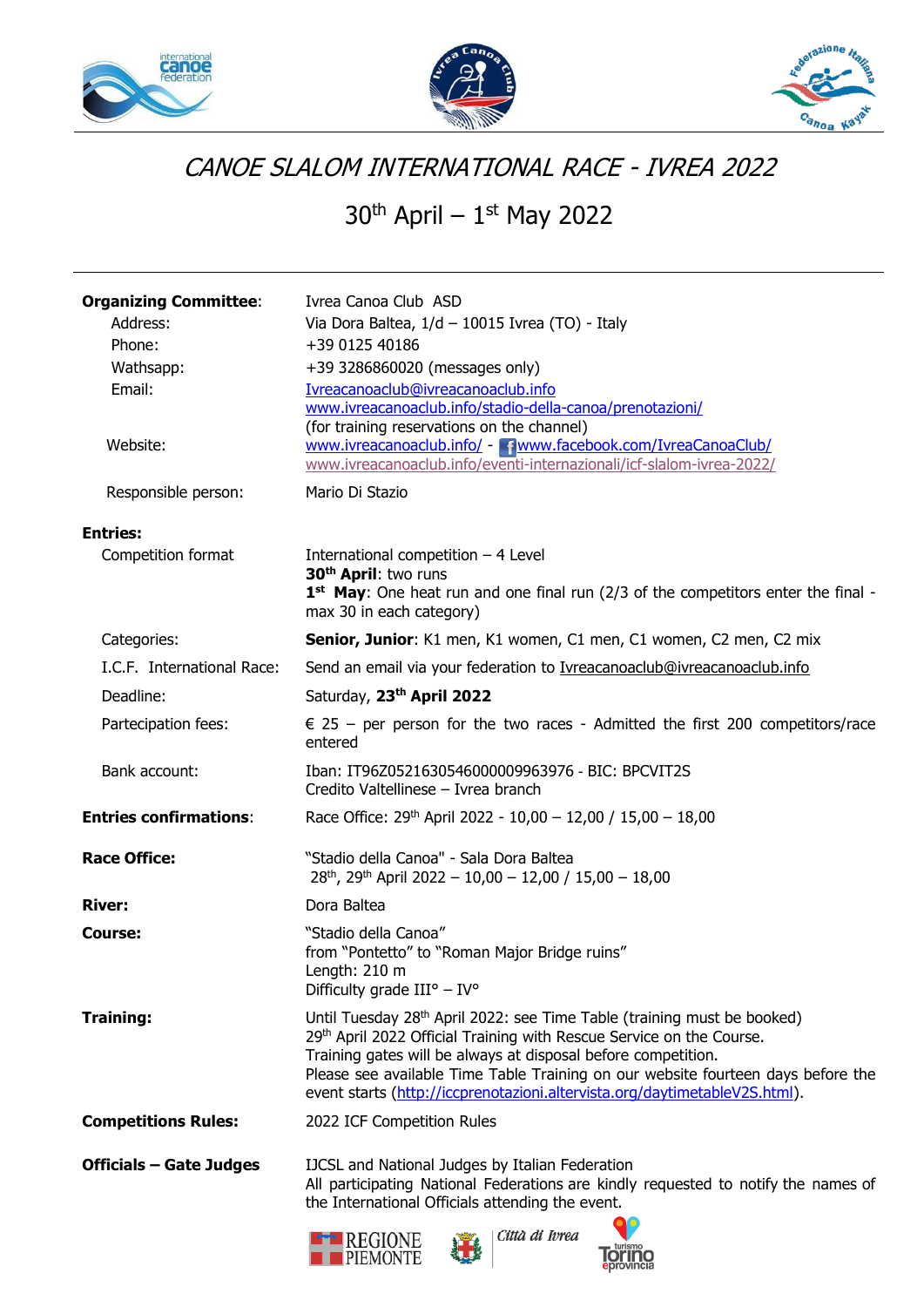





## CANOE SLALOM INTERNATIONAL RACE - IVREA 2022

30<sup>th</sup> April – 1st May 2022

| <b>Organizing Committee:</b><br>Address:<br>Phone:<br>Wathsapp:<br>Email:<br>Website:<br>Responsible person: | Ivrea Canoa Club ASD<br>Via Dora Baltea, 1/d - 10015 Ivrea (TO) - Italy<br>+39 0125 40186<br>+39 3286860020 (messages only)<br>Ivreacanoaclub@ivreacanoaclub.info<br>www.ivreacanoaclub.info/stadio-della-canoa/prenotazioni/<br>(for training reservations on the channel)<br>www.ivreacanoaclub.info/ - Thwww.facebook.com/IvreaCanoaClub/<br>www.ivreacanoaclub.info/eventi-internazionali/icf-slalom-ivrea-2022/<br>Mario Di Stazio |  |  |
|--------------------------------------------------------------------------------------------------------------|-----------------------------------------------------------------------------------------------------------------------------------------------------------------------------------------------------------------------------------------------------------------------------------------------------------------------------------------------------------------------------------------------------------------------------------------|--|--|
| <b>Entries:</b>                                                                                              |                                                                                                                                                                                                                                                                                                                                                                                                                                         |  |  |
| Competition format                                                                                           | International competition $-4$ Level<br>30 <sup>th</sup> April: two runs<br>1st May: One heat run and one final run (2/3 of the competitors enter the final -<br>max 30 in each category)                                                                                                                                                                                                                                               |  |  |
| Categories:                                                                                                  | Senior, Junior: K1 men, K1 women, C1 men, C1 women, C2 men, C2 mix                                                                                                                                                                                                                                                                                                                                                                      |  |  |
| I.C.F. International Race:                                                                                   | Send an email via your federation to Ivreacanoaclub@ivreacanoaclub.info                                                                                                                                                                                                                                                                                                                                                                 |  |  |
| Deadline:                                                                                                    | Saturday, 23th April 2022                                                                                                                                                                                                                                                                                                                                                                                                               |  |  |
| Partecipation fees:                                                                                          | $\epsilon$ 25 – per person for the two races - Admitted the first 200 competitors/race<br>entered                                                                                                                                                                                                                                                                                                                                       |  |  |
| Bank account:                                                                                                | Iban: IT96Z0521630546000009963976 - BIC: BPCVIT2S<br>Credito Valtellinese - Ivrea branch                                                                                                                                                                                                                                                                                                                                                |  |  |
| <b>Entries confirmations:</b>                                                                                | Race Office: $29th$ April 2022 - 10,00 - 12,00 / 15,00 - 18,00                                                                                                                                                                                                                                                                                                                                                                          |  |  |
| <b>Race Office:</b>                                                                                          | "Stadio della Canoa" - Sala Dora Baltea<br>$28th$ , $29th$ April 2022 - 10,00 - 12,00 / 15,00 - 18,00                                                                                                                                                                                                                                                                                                                                   |  |  |
| <b>River:</b>                                                                                                | Dora Baltea                                                                                                                                                                                                                                                                                                                                                                                                                             |  |  |
| <b>Course:</b>                                                                                               | "Stadio della Canoa"<br>from "Pontetto" to "Roman Major Bridge ruins"<br>Length: 210 m<br>Difficulty grade $III^{\circ} - IV^{\circ}$                                                                                                                                                                                                                                                                                                   |  |  |
| <b>Training:</b>                                                                                             | Until Tuesday 28 <sup>th</sup> April 2022: see Time Table (training must be booked)<br>29th April 2022 Official Training with Rescue Service on the Course.<br>Training gates will be always at disposal before competition.<br>Please see available Time Table Training on our website fourteen days before the<br>event starts (http://iccprenotazioni.altervista.org/daytimetableV2S.html).                                          |  |  |
| <b>Competitions Rules:</b>                                                                                   | 2022 ICF Competition Rules                                                                                                                                                                                                                                                                                                                                                                                                              |  |  |
| <b>Officials – Gate Judges</b>                                                                               | IJCSL and National Judges by Italian Federation<br>All participating National Federations are kindly requested to notify the names of<br>the International Officials attending the event.<br>Città di Ivrea<br><b>REGIONE</b><br>PIEMONTE                                                                                                                                                                                               |  |  |